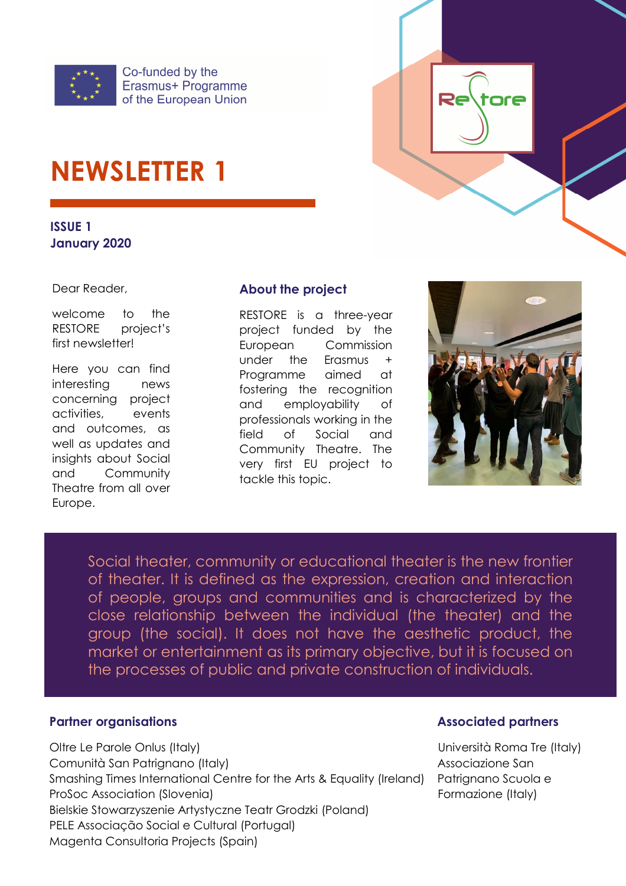

# **NEWSLETTER 1**

**ISSUE 1 January 2020** 

Dear Reader,

welcome to the RESTORE project's first newsletter!

Here you can find interesting news concerning project activities, events and outcomes, as well as updates and insights about Social and Community Theatre from all over Europe.

#### **About the project**

RESTORE is a three-year project funded by the European Commission under the Erasmus + Programme aimed at fostering the recognition and employability of professionals working in the field of Social and Community Theatre. The very first EU project to tackle this topic.



Social theater, community or educational theater is the new frontier of theater. It is defined as the expression, creation and interaction of people, groups and communities and is characterized by the close relationship between the individual (the theater) and the group (the social). It does not have the aesthetic product, the market or entertainment as its primary objective, but it is focused on the processes of public and private construction of individuals.

#### **Partner organisations** *Partner organisations*

Oltre Le Parole Onlus (Italy) Università Roma Tre (Italy) Comunità San Patrignano (Italy) and a comunità San Patrignano (Italy) Smashing Times International Centre for the Arts & Equality (Ireland) Patrignano Scuola e ProSoc Association (Slovenia) entries and the extension of the Formazione (Italy) Bielskie Stowarzyszenie Artystyczne Teatr Grodzki (Poland) PELE Associação Social e Cultural (Portugal) Magenta Consultoria Projects (Spain)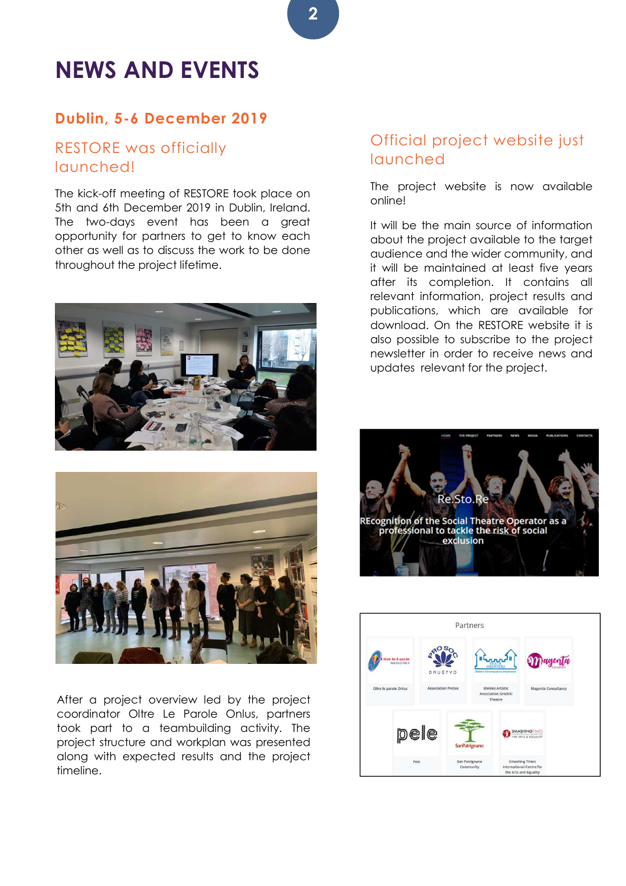## **NEWS AND EVENTS**

#### **Dublin, 5-6 December 2019**

#### RESTORE was officially launched!

The kick-off meeting of RESTORE took place on 5th and 6th December 2019 in Dublin, Ireland. The two-days event has been a great opportunity for partners to get to know each other as well as to discuss the work to be done throughout the project lifetime.





After a project overview led by the project coordinator Oltre Le Parole Onlus, partners took part to a teambuilding activity. The project structure and workplan was presented along with expected results and the project timeline.

#### Official project website just launched

The project website is now available online!

It will be the main source of information about the project available to the target audience and the wider community, and it will be maintained at least five years after its completion. It contains all relevant information, project results and publications, which are available for download. On the RESTORE website it is also possible to subscribe to the project newsletter in order to receive news and updates relevant for the project.





**2**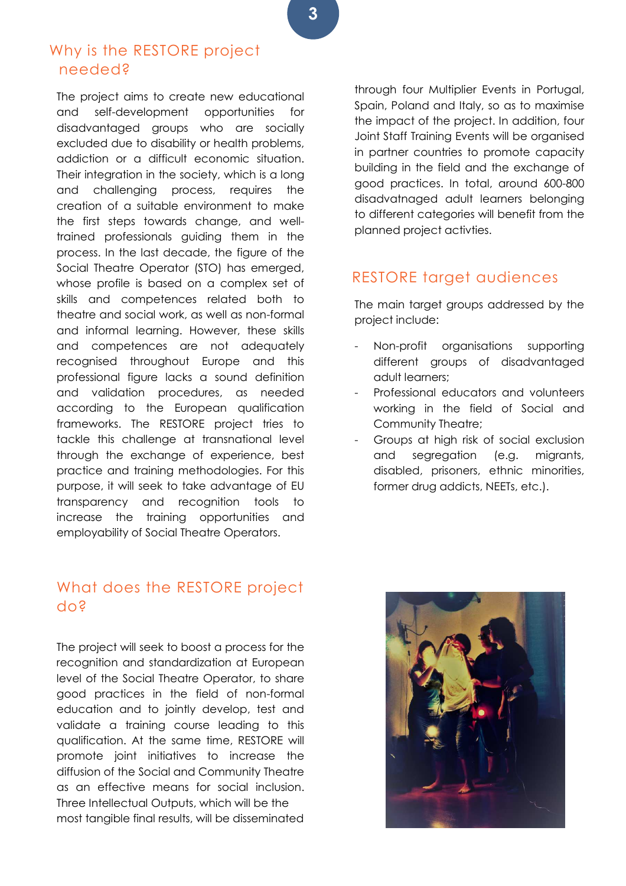#### Why is the RESTORE project needed?

The project aims to create new educational and self-development opportunities for disadvantaged groups who are socially excluded due to disability or health problems, addiction or a difficult economic situation. Their integration in the society, which is a long and challenging process, requires the creation of a suitable environment to make the first steps towards change, and welltrained professionals guiding them in the process. In the last decade, the figure of the Social Theatre Operator (STO) has emerged, whose profile is based on a complex set of skills and competences related both to theatre and social work, as well as non-formal and informal learning. However, these skills and competences are not adequately recognised throughout Europe and this professional figure lacks a sound definition and validation procedures, as needed according to the European qualification frameworks. The RESTORE project tries to tackle this challenge at transnational level through the exchange of experience, best practice and training methodologies. For this purpose, it will seek to take advantage of EU transparency and recognition tools to increase the training opportunities and employability of Social Theatre Operators.

#### What does the RESTORE project do?

The project will seek to boost a process for the recognition and standardization at European level of the Social Theatre Operator, to share good practices in the field of non-formal education and to jointly develop, test and validate a training course leading to this qualification. At the same time, RESTORE will promote joint initiatives to increase the diffusion of the Social and Community Theatre as an effective means for social inclusion. Three Intellectual Outputs, which will be the most tangible final results, will be disseminated

through four Multiplier Events in Portugal, Spain, Poland and Italy, so as to maximise the impact of the project. In addition, four Joint Staff Training Events will be organised in partner countries to promote capacity building in the field and the exchange of good practices. In total, around 600-800 disadvatnaged adult learners belonging to different categories will benefit from the planned project activties.

#### RESTORE target audiences

The main target groups addressed by the project include:

- Non-profit organisations supporting different groups of disadvantaged adult learners;
- Professional educators and volunteers working in the field of Social and Community Theatre;
- Groups at high risk of social exclusion and segregation (e.g. migrants, disabled, prisoners, ethnic minorities, former drug addicts, NEETs, etc.).